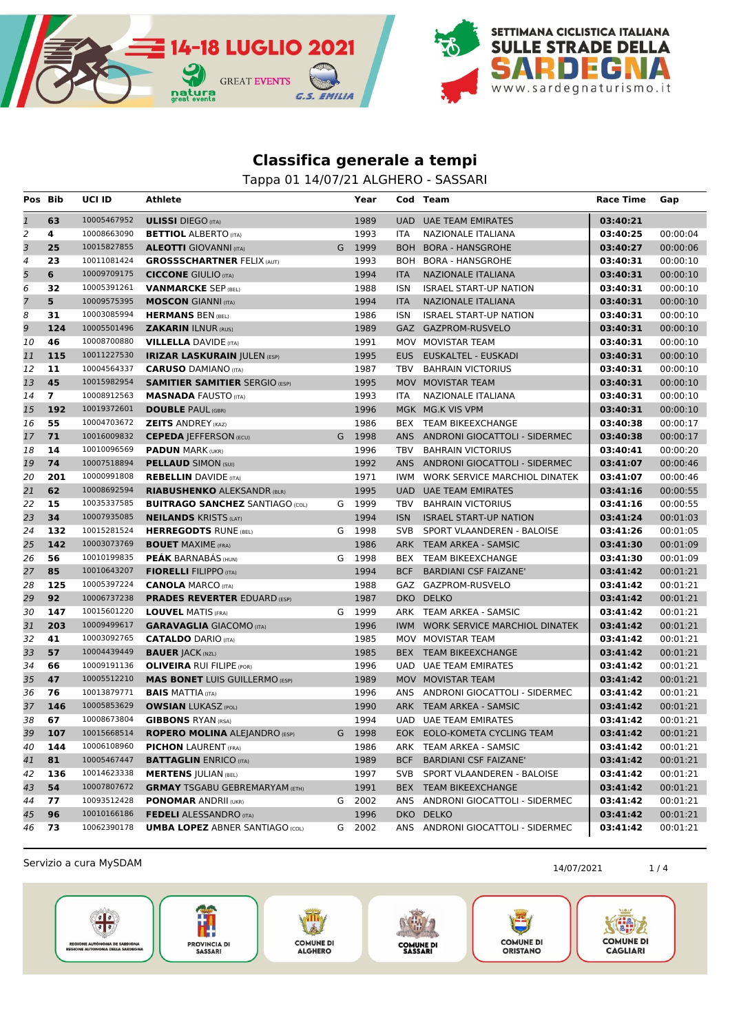

Tappa 01 14/07/21 ALGHERO - SASSARI

| Pos Bib        |                | <b>UCI ID</b> | Athlete                                |   | Year   |            | Cod Team                          | <b>Race Time</b> | Gap      |
|----------------|----------------|---------------|----------------------------------------|---|--------|------------|-----------------------------------|------------------|----------|
| $\mathbf{1}$   | 63             | 10005467952   | <b>ULISSI</b> DIEGO (ITA)              |   | 1989   |            | UAD UAE TEAM EMIRATES             | 03:40:21         |          |
| $\overline{2}$ | 4              | 10008663090   | <b>BETTIOL ALBERTO (ITA)</b>           |   | 1993   | <b>ITA</b> | NAZIONALE ITALIANA                | 03:40:25         | 00:00:04 |
| 3              | 25             | 10015827855   | <b>ALEOTTI</b> GIOVANNI (ITA)          | G | 1999   |            | BOH BORA - HANSGROHE              | 03:40:27         | 00:00:06 |
| $\sqrt{4}$     | 23             | 10011081424   | <b>GROSSSCHARTNER FELIX (AUT)</b>      |   | 1993   | BOH        | <b>BORA - HANSGROHE</b>           | 03:40:31         | 00:00:10 |
| 5              | 6              | 10009709175   | <b>CICCONE</b> GIULIO (ITA)            |   | 1994   | <b>ITA</b> | <b>NAZIONALE ITALIANA</b>         | 03:40:31         | 00:00:10 |
| 6              | 32             | 10005391261   | <b>VANMARCKE SEP (BEL)</b>             |   | 1988   | <b>ISN</b> | <b>ISRAEL START-UP NATION</b>     | 03:40:31         | 00:00:10 |
| $\overline{7}$ | 5 <sup>5</sup> | 10009575395   | <b>MOSCON GIANNI (ITA)</b>             |   | 1994   | <b>ITA</b> | NAZIONALE ITALIANA                | 03:40:31         | 00:00:10 |
| 8              | 31             | 10003085994   | <b>HERMANS BEN (BEL)</b>               |   | 1986   | <b>ISN</b> | <b>ISRAEL START-UP NATION</b>     | 03:40:31         | 00:00:10 |
| 9              | 124            | 10005501496   | <b>ZAKARIN ILNUR (RUS)</b>             |   | 1989   |            | GAZ GAZPROM-RUSVELO               | 03:40:31         | 00:00:10 |
| 10             | 46             | 10008700880   | <b>VILLELLA DAVIDE (ITA)</b>           |   | 1991   |            | MOV MOVISTAR TEAM                 | 03:40:31         | 00:00:10 |
| 11             | 115            | 10011227530   | <b>IRIZAR LASKURAIN JULEN (ESP)</b>    |   | 1995   | EUS        | EUSKALTEL - EUSKADI               | 03:40:31         | 00:00:10 |
| 12             | 11             | 10004564337   | <b>CARUSO DAMIANO</b> (ITA)            |   | 1987   | TBV        | <b>BAHRAIN VICTORIUS</b>          | 03:40:31         | 00:00:10 |
| 13             | 45             | 10015982954   | <b>SAMITIER SAMITIER SERGIO (ESP)</b>  |   | 1995   |            | MOV MOVISTAR TEAM                 | 03:40:31         | 00:00:10 |
| 14             | $\overline{ }$ | 10008912563   | <b>MASNADA FAUSTO (ITA)</b>            |   | 1993   | ITA        | NAZIONALE ITALIANA                | 03:40:31         | 00:00:10 |
| 15             | 192            | 10019372601   | <b>DOUBLE PAUL (GBR)</b>               |   | 1996   |            | MGK MG.K VIS VPM                  | 03:40:31         | 00:00:10 |
| 16             | 55             | 10004703672   | <b>ZEITS ANDREY (KAZ)</b>              |   | 1986   |            | BEX TEAM BIKEEXCHANGE             | 03:40:38         | 00:00:17 |
| 17             | 71             | 10016009832   | <b>CEPEDA   EFFERSON (ECU)</b>         | G | 1998   |            | ANS ANDRONI GIOCATTOLI - SIDERMEC | 03:40:38         | 00:00:17 |
| 18             | 14             | 10010096569   | <b>PADUN MARK (UKR)</b>                |   | 1996   | TBV        | <b>BAHRAIN VICTORIUS</b>          | 03:40:41         | 00:00:20 |
| 19             | 74             | 10007518894   | <b>PELLAUD SIMON (SUI)</b>             |   | 1992   |            | ANS ANDRONI GIOCATTOLI - SIDERMEC | 03:41:07         | 00:00:46 |
| 20             | 201            | 10000991808   | <b>REBELLIN</b> DAVIDE (ITA)           |   | 1971   | IWM        | WORK SERVICE MARCHIOL DINATEK     | 03:41:07         | 00:00:46 |
| 21             | 62             | 10008692594   | <b>RIABUSHENKO ALEKSANDR (BLR)</b>     |   | 1995   | UAD.       | <b>UAE TEAM EMIRATES</b>          | 03:41:16         | 00:00:55 |
| 22             | 15             | 10035337585   | <b>BUITRAGO SANCHEZ SANTIAGO (COL)</b> |   | G 1999 | TBV        | <b>BAHRAIN VICTORIUS</b>          | 03:41:16         | 00:00:55 |
| 23             | 34             | 10007935085   | <b>NEILANDS KRISTS (LAT)</b>           |   | 1994   | <b>ISN</b> | <b>ISRAEL START-UP NATION</b>     | 03:41:24         | 00:01:03 |
| 24             | 132            | 10015281524   | <b>HERREGODTS RUNE (BEL)</b>           |   | G 1998 | <b>SVB</b> | SPORT VLAANDEREN - BALOISE        | 03:41:26         | 00:01:05 |
| 25             | 142            | 10003073769   | <b>BOUET MAXIME (FRA)</b>              |   | 1986   |            | ARK TEAM ARKEA - SAMSIC           | 03:41:30         | 00:01:09 |
| 26             | 56             | 10010199835   | <b>PEAK BARNABAS (HUN)</b>             |   | G 1998 |            | BEX TEAM BIKEEXCHANGE             | 03:41:30         | 00:01:09 |
| 27             | 85             | 10010643207   | <b>FIORELLI FILIPPO (ITA)</b>          |   | 1994   | BCF        | <b>BARDIANI CSF FAIZANE'</b>      | 03:41:42         | 00:01:21 |
| 28             | 125            | 10005397224   | <b>CANOLA MARCO (ITA)</b>              |   | 1988   |            | GAZ GAZPROM-RUSVELO               | 03:41:42         | 00:01:21 |
| 29             | 92             | 10006737238   | <b>PRADES REVERTER EDUARD (ESP)</b>    |   | 1987   |            | DKO DELKO                         | 03:41:42         | 00:01:21 |
| 30             | 147            | 10015601220   | <b>LOUVEL MATIS (FRA)</b>              | G | 1999   |            | ARK TEAM ARKEA - SAMSIC           | 03:41:42         | 00:01:21 |
| 31             | 203            | 10009499617   | <b>GARAVAGLIA GIACOMO (ITA)</b>        |   | 1996   |            | IWM WORK SERVICE MARCHIOL DINATEK | 03:41:42         | 00:01:21 |
| 32             | 41             | 10003092765   | <b>CATALDO</b> DARIO (ITA)             |   | 1985   |            | MOV MOVISTAR TEAM                 | 03:41:42         | 00:01:21 |
| 33             | 57             | 10004439449   | <b>BAUER JACK (NZL)</b>                |   | 1985   |            | BEX TEAM BIKEEXCHANGE             | 03:41:42         | 00:01:21 |
| 34             | 66             | 10009191136   | <b>OLIVEIRA RUI FILIPE (POR)</b>       |   | 1996   |            | <b>UAD UAE TEAM EMIRATES</b>      | 03:41:42         | 00:01:21 |
| 35             | 47             | 10005512210   | <b>MAS BONET</b> LUIS GUILLERMO (ESP)  |   | 1989   |            | MOV MOVISTAR TEAM                 | 03:41:42         | 00:01:21 |
| 36             | 76             | 10013879771   | <b>BAIS MATTIA (ITA)</b>               |   | 1996   |            | ANS ANDRONI GIOCATTOLI - SIDERMEC | 03:41:42         | 00:01:21 |
| 37             | 146            | 10005853629   | <b>OWSIAN LUKASZ (POL)</b>             |   | 1990   |            | ARK TEAM ARKEA - SAMSIC           | 03:41:42         | 00:01:21 |
| 38             | 67             | 10008673804   | <b>GIBBONS RYAN (RSA)</b>              |   | 1994   |            | <b>UAD UAE TEAM EMIRATES</b>      | 03:41:42         | 00:01:21 |
| 39             | 107            | 10015668514   | <b>ROPERO MOLINA ALEJANDRO (ESP)</b>   |   | G 1998 |            | EOK EOLO-KOMETA CYCLING TEAM      | 03:41:42         | 00:01:21 |
| 40             | 144            | 10006108960   | <b>PICHON LAURENT (FRA)</b>            |   | 1986   |            | ARK TEAM ARKEA - SAMSIC           | 03:41:42         | 00:01:21 |
| 41             | 81             | 10005467447   | <b>BATTAGLIN</b> ENRICO (ITA)          |   | 1989   | <b>BCF</b> | <b>BARDIANI CSF FAIZANE'</b>      | 03:41:42         | 00:01:21 |
| 42             | 136            | 10014623338   | <b>MERTENS JULIAN (BEL)</b>            |   | 1997   | SVB        | SPORT VLAANDEREN - BALOISE        | 03:41:42         | 00:01:21 |
| 43             | 54             | 10007807672   | <b>GRMAY TSGABU GEBREMARYAM (ETH)</b>  |   | 1991   |            | BEX TEAM BIKEEXCHANGE             | 03:41:42         | 00:01:21 |
| 44             | 77             | 10093512428   | <b>PONOMAR ANDRII (UKR)</b>            |   | G 2002 |            | ANS ANDRONI GIOCATTOLI - SIDERMEC | 03:41:42         | 00:01:21 |
| 45             | 96             | 10010166186   | <b>FEDELI ALESSANDRO</b> (ITA)         |   | 1996   |            | DKO DELKO                         | 03:41:42         | 00:01:21 |
| 46             | 73             | 10062390178   | <b>UMBA LOPEZ ABNER SANTIAGO (COL)</b> |   | G 2002 |            | ANS ANDRONI GIOCATTOLI - SIDERMEC | 03:41:42         | 00:01:21 |

Servizio a cura MySDAM 1/4









COMUNE DI<br>ORISTANO

大群友 **COMUNE DI** CAGLIARI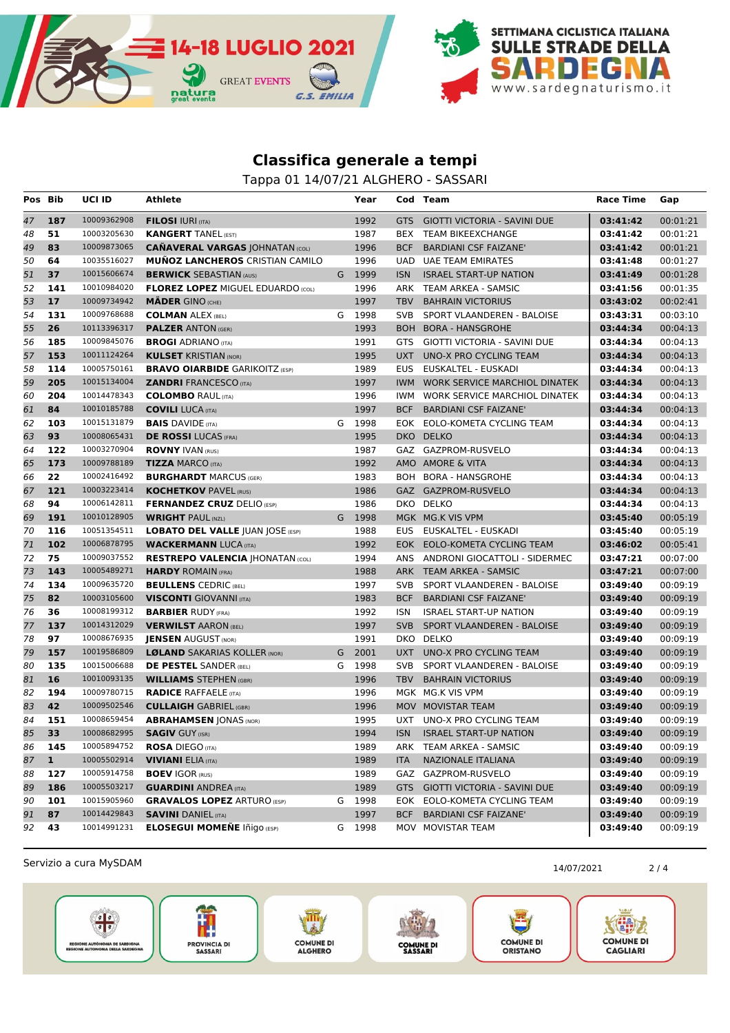

Tappa 01 14/07/21 ALGHERO - SASSARI

| Pos | Bib          | <b>UCI ID</b> | Athlete                                  |   | Year   |            | Cod Team                             | Race Time | Gap      |
|-----|--------------|---------------|------------------------------------------|---|--------|------------|--------------------------------------|-----------|----------|
| 47  | 187          | 10009362908   | <b>FILOSI IURI (ITA)</b>                 |   | 1992   | <b>GTS</b> | <b>GIOTTI VICTORIA - SAVINI DUE</b>  | 03:41:42  | 00:01:21 |
| 48  | 51           | 10003205630   | <b>KANGERT TANEL (EST)</b>               |   | 1987   | <b>BEX</b> | <b>TEAM BIKEEXCHANGE</b>             | 03:41:42  | 00:01:21 |
| 49  | 83           | 10009873065   | <b>CAÑAVERAL VARGAS JOHNATAN (COL)</b>   |   | 1996   | <b>BCF</b> | <b>BARDIANI CSF FAIZANE'</b>         | 03:41:42  | 00:01:21 |
| 50  | 64           | 10035516027   | <b>MUÑOZ LANCHEROS CRISTIAN CAMILO</b>   |   | 1996   | <b>UAD</b> | <b>UAE TEAM EMIRATES</b>             | 03:41:48  | 00:01:27 |
| 51  | 37           | 10015606674   | <b>BERWICK SEBASTIAN (AUS)</b>           |   | G 1999 | <b>ISN</b> | <b>ISRAEL START-UP NATION</b>        | 03:41:49  | 00:01:28 |
| 52  | 141          | 10010984020   | <b>FLOREZ LOPEZ MIGUEL EDUARDO (COL)</b> |   | 1996   | ARK        | TEAM ARKEA - SAMSIC                  | 03:41:56  | 00:01:35 |
| 53  | 17           | 10009734942   | <b>MÄDER GINO (CHE)</b>                  |   | 1997   | <b>TBV</b> | <b>BAHRAIN VICTORIUS</b>             | 03:43:02  | 00:02:41 |
| 54  | 131          | 10009768688   | <b>COLMAN ALEX (BEL)</b>                 |   | G 1998 | <b>SVB</b> | SPORT VLAANDEREN - BALOISE           | 03:43:31  | 00:03:10 |
| 55  | 26           | 10113396317   | <b>PALZER ANTON (GER)</b>                |   | 1993   |            | BOH BORA - HANSGROHE                 | 03:44:34  | 00:04:13 |
| 56  | 185          | 10009845076   | <b>BROGI ADRIANO (ITA)</b>               |   | 1991   | GTS        | GIOTTI VICTORIA - SAVINI DUE         | 03:44:34  | 00:04:13 |
| 57  | 153          | 10011124264   | <b>KULSET KRISTIAN (NOR)</b>             |   | 1995   | <b>UXT</b> | UNO-X PRO CYCLING TEAM               | 03:44:34  | 00:04:13 |
| 58  | 114          | 10005750161   | <b>BRAVO OIARBIDE GARIKOITZ (ESP)</b>    |   | 1989   | <b>EUS</b> | EUSKALTEL - EUSKADI                  | 03:44:34  | 00:04:13 |
| 59  | 205          | 10015134004   | <b>ZANDRI FRANCESCO (ITA)</b>            |   | 1997   | <b>IWM</b> | <b>WORK SERVICE MARCHIOL DINATEK</b> | 03:44:34  | 00:04:13 |
| 60  | 204          | 10014478343   | <b>COLOMBO RAUL (ITA)</b>                |   | 1996   | IWM.       | WORK SERVICE MARCHIOL DINATEK        | 03:44:34  | 00:04:13 |
| 61  | 84           | 10010185788   | <b>COVILI LUCA (ITA)</b>                 |   | 1997   | <b>BCF</b> | <b>BARDIANI CSF FAIZANE'</b>         | 03:44:34  | 00:04:13 |
| 62  | 103          | 10015131879   | <b>BAIS</b> DAVIDE (ITA)                 | G | 1998   | <b>EOK</b> | EOLO-KOMETA CYCLING TEAM             | 03:44:34  | 00:04:13 |
| 63  | 93           | 10008065431   | <b>DE ROSSI</b> LUCAS (FRA)              |   | 1995   |            | DKO DELKO                            | 03:44:34  | 00:04:13 |
| 64  | 122          | 10003270904   | <b>ROVNY IVAN (RUS)</b>                  |   | 1987   |            | GAZ GAZPROM-RUSVELO                  | 03:44:34  | 00:04:13 |
| 65  | 173          | 10009788189   | <b>TIZZA MARCO (ITA)</b>                 |   | 1992   |            | AMO AMORE & VITA                     | 03:44:34  | 00:04:13 |
| 66  | 22           | 10002416492   | <b>BURGHARDT MARCUS (GER)</b>            |   | 1983   |            | BOH BORA - HANSGROHE                 | 03:44:34  | 00:04:13 |
| 67  | 121          | 10003223414   | <b>KOCHETKOV PAVEL (RUS)</b>             |   | 1986   |            | GAZ GAZPROM-RUSVELO                  | 03:44:34  | 00:04:13 |
| 68  | 94           | 10006142811   | <b>FERNANDEZ CRUZ</b> DELIO (ESP)        |   | 1986   |            | DKO DELKO                            | 03:44:34  | 00:04:13 |
| 69  | 191          | 10010128905   | <b>WRIGHT PAUL (NZL)</b>                 |   | G 1998 |            | MGK MG.K VIS VPM                     | 03:45:40  | 00:05:19 |
| 70  | 116          | 10051354511   | <b>LOBATO DEL VALLE JUAN JOSE (ESP)</b>  |   | 1988   | <b>EUS</b> | EUSKALTEL - EUSKADI                  | 03:45:40  | 00:05:19 |
| 71  | 102          | 10006878795   | <b>WACKERMANN LUCA (ITA)</b>             |   | 1992   |            | EOK EOLO-KOMETA CYCLING TEAM         | 03:46:02  | 00:05:41 |
| 72  | 75           | 10009037552   | <b>RESTREPO VALENCIA  HONATAN (COL)</b>  |   | 1994   |            | ANS ANDRONI GIOCATTOLI - SIDERMEC    | 03:47:21  | 00:07:00 |
| 73  | 143          | 10005489271   | <b>HARDY ROMAIN (FRA)</b>                |   | 1988   | <b>ARK</b> | <b>TEAM ARKEA - SAMSIC</b>           | 03:47:21  | 00:07:00 |
| 74  | 134          | 10009635720   | <b>BEULLENS CEDRIC (BEL)</b>             |   | 1997   | <b>SVB</b> | SPORT VLAANDEREN - BALOISE           | 03:49:40  | 00:09:19 |
| 75  | 82           | 10003105600   | <b>VISCONTI</b> GIOVANNI (ITA)           |   | 1983   | <b>BCF</b> | <b>BARDIANI CSF FAIZANE'</b>         | 03:49:40  | 00:09:19 |
| 76  | 36           | 10008199312   | <b>BARBIER RUDY (FRA)</b>                |   | 1992   | <b>ISN</b> | <b>ISRAEL START-UP NATION</b>        | 03:49:40  | 00:09:19 |
| 77  | 137          | 10014312029   | <b>VERWILST AARON (BEL)</b>              |   | 1997   | <b>SVB</b> | SPORT VLAANDEREN - BALOISE           | 03:49:40  | 00:09:19 |
| 78  | 97           | 10008676935   | <b>JENSEN AUGUST (NOR)</b>               |   | 1991   | DKO        | <b>DELKO</b>                         | 03:49:40  | 00:09:19 |
| 79  | 157          | 10019586809   | <b>LØLAND SAKARIAS KOLLER (NOR)</b>      | G | 2001   | <b>UXT</b> | UNO-X PRO CYCLING TEAM               | 03:49:40  | 00:09:19 |
| 80  | 135          | 10015006688   | <b>DE PESTEL SANDER (BEL)</b>            | G | 1998   | <b>SVB</b> | SPORT VLAANDEREN - BALOISE           | 03:49:40  | 00:09:19 |
| 81  | 16           | 10010093135   | <b>WILLIAMS STEPHEN (GBR)</b>            |   | 1996   | <b>TBV</b> | <b>BAHRAIN VICTORIUS</b>             | 03:49:40  | 00:09:19 |
| 82  | 194          | 10009780715   | <b>RADICE RAFFAELE (ITA)</b>             |   | 1996   |            | MGK MG.K VIS VPM                     | 03:49:40  | 00:09:19 |
| 83  | 42           | 10009502546   | <b>CULLAIGH GABRIEL (GBR)</b>            |   | 1996   |            | MOV MOVISTAR TEAM                    | 03:49:40  | 00:09:19 |
| 84  | 151          | 10008659454   | <b>ABRAHAMSEN JONAS (NOR)</b>            |   | 1995   | UXT        | UNO-X PRO CYCLING TEAM               | 03:49:40  | 00:09:19 |
| 85  | 33           | 10008682995   | <b>SAGIV GUY (ISR)</b>                   |   | 1994   | <b>ISN</b> | <b>ISRAEL START-UP NATION</b>        | 03:49:40  | 00:09:19 |
| 86  | 145          | 10005894752   | <b>ROSA DIEGO (ITA)</b>                  |   | 1989   | ARK        | TEAM ARKEA - SAMSIC                  | 03:49:40  | 00:09:19 |
| 87  | $\mathbf{1}$ | 10005502914   | <b>VIVIANI</b> ELIA (ITA)                |   | 1989   | <b>ITA</b> | NAZIONALE ITALIANA                   | 03:49:40  | 00:09:19 |
| 88  | 127          | 10005914758   | <b>BOEV IGOR (RUS)</b>                   |   | 1989   | GAZ        | GAZPROM-RUSVELO                      | 03:49:40  | 00:09:19 |
| 89  | 186          | 10005503217   | <b>GUARDINI ANDREA (ITA)</b>             |   | 1989   | <b>GTS</b> | <b>GIOTTI VICTORIA - SAVINI DUE</b>  | 03:49:40  | 00:09:19 |
| 90  | 101          | 10015905960   | <b>GRAVALOS LOPEZ ARTURO (ESP)</b>       |   | G 1998 |            | EOK EOLO-KOMETA CYCLING TEAM         | 03:49:40  | 00:09:19 |
| 91  | 87           | 10014429843   | <b>SAVINI DANIEL (ITA)</b>               |   | 1997   | <b>BCF</b> | <b>BARDIANI CSF FAIZANE'</b>         | 03:49:40  | 00:09:19 |
| 92  | 43           | 10014991231   | <b>ELOSEGUI MOMEÑE Iñigo (ESP)</b>       |   | G 1998 |            | MOV MOVISTAR TEAM                    | 03:49:40  | 00:09:19 |

Servizio a cura MySDAM 2/4









COMUNE DI<br>ORISTANO

大群友

**COMUNE DI** 

CAGLIARI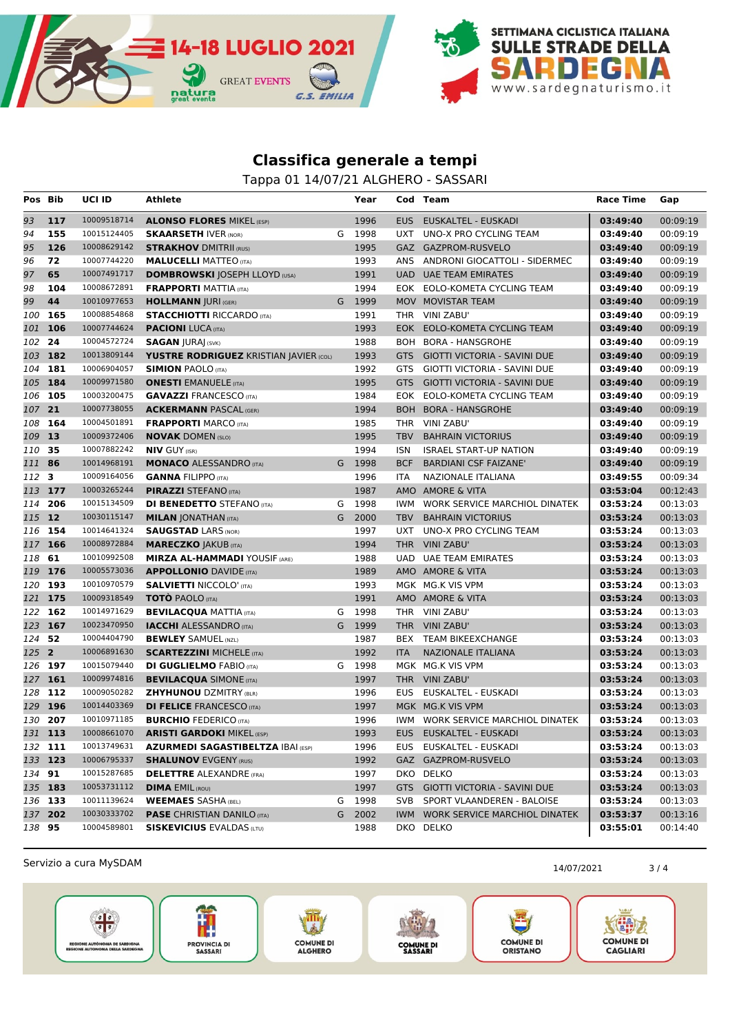

Tappa 01 14/07/21 ALGHERO - SASSARI

| Pos     | Bib     | <b>UCI ID</b> | Athlete                                  |   | Year   |            | Cod Team                            | Race Time | Gap      |
|---------|---------|---------------|------------------------------------------|---|--------|------------|-------------------------------------|-----------|----------|
| 93      | 117     | 10009518714   | <b>ALONSO FLORES MIKEL (ESP)</b>         |   | 1996   |            | EUS EUSKALTEL - EUSKADI             | 03:49:40  | 00:09:19 |
| 94      | 155     | 10015124405   | <b>SKAARSETH IVER (NOR)</b>              |   | G 1998 | UXT        | UNO-X PRO CYCLING TEAM              | 03:49:40  | 00:09:19 |
| 95      | 126     | 10008629142   | <b>STRAKHOV DMITRII (RUS)</b>            |   | 1995   |            | GAZ GAZPROM-RUSVELO                 | 03:49:40  | 00:09:19 |
| 96      | 72      | 10007744220   | <b>MALUCELLI MATTEO (ITA)</b>            |   | 1993   |            | ANS ANDRONI GIOCATTOLI - SIDERMEC   | 03:49:40  | 00:09:19 |
| 97      | 65      | 10007491717   | <b>DOMBROWSKI JOSEPH LLOYD (USA)</b>     |   | 1991   | <b>UAD</b> | <b>UAE TEAM EMIRATES</b>            | 03:49:40  | 00:09:19 |
| 98      | 104     | 10008672891   | <b>FRAPPORTI MATTIA (ITA)</b>            |   | 1994   | EOK.       | EOLO-KOMETA CYCLING TEAM            | 03:49:40  | 00:09:19 |
| 99      | 44      | 10010977653   | <b>HOLLMANN JURI (GER)</b>               |   | G 1999 |            | MOV MOVISTAR TEAM                   | 03:49:40  | 00:09:19 |
| 100     | 165     | 10008854868   | <b>STACCHIOTTI RICCARDO (ITA)</b>        |   | 1991   |            | THR VINI ZABU'                      | 03:49:40  | 00:09:19 |
| 101     | 106     | 10007744624   | <b>PACIONI</b> LUCA (ITA)                |   | 1993   |            | EOK EOLO-KOMETA CYCLING TEAM        | 03:49:40  | 00:09:19 |
| 102     | 24      | 10004572724   | <b>SAGAN  URA  (SVK)</b>                 |   | 1988   |            | BOH BORA - HANSGROHE                | 03:49:40  | 00:09:19 |
| 103     | 182     | 10013809144   | YUSTRE RODRIGUEZ KRISTIAN JAVIER (COL)   |   | 1993   | <b>GTS</b> | GIOTTI VICTORIA - SAVINI DUE        | 03:49:40  | 00:09:19 |
| 104     | 181     | 10006904057   | <b>SIMION PAOLO (ITA)</b>                |   | 1992   | GTS        | GIOTTI VICTORIA - SAVINI DUE        | 03:49:40  | 00:09:19 |
|         | 105 184 | 10009971580   | <b>ONESTI</b> EMANUELE (ITA)             |   | 1995   | <b>GTS</b> | <b>GIOTTI VICTORIA - SAVINI DUE</b> | 03:49:40  | 00:09:19 |
|         | 106 105 | 10003200475   | <b>GAVAZZI FRANCESCO (ITA)</b>           |   | 1984   |            | EOK EOLO-KOMETA CYCLING TEAM        | 03:49:40  | 00:09:19 |
| 107     | 21      | 10007738055   | <b>ACKERMANN PASCAL (GER)</b>            |   | 1994   |            | BOH BORA - HANSGROHE                | 03:49:40  | 00:09:19 |
| 108     | 164     | 10004501891   | <b>FRAPPORTI MARCO (ITA)</b>             |   | 1985   | THR        | VINI ZABU'                          | 03:49:40  | 00:09:19 |
| 109     | 13      | 10009372406   | <b>NOVAK DOMEN (SLO)</b>                 |   | 1995   | <b>TBV</b> | <b>BAHRAIN VICTORIUS</b>            | 03:49:40  | 00:09:19 |
| 110     | 35      | 10007882242   | <b>NIV GUY (ISR)</b>                     |   | 1994   | <b>ISN</b> | <b>ISRAEL START-UP NATION</b>       | 03:49:40  | 00:09:19 |
| 111 86  |         | 10014968191   | <b>MONACO ALESSANDRO (ITA)</b>           |   | G 1998 | <b>BCF</b> | <b>BARDIANI CSF FAIZANE'</b>        | 03:49:40  | 00:09:19 |
| 112 3   |         | 10009164056   | <b>GANNA FILIPPO (ITA)</b>               |   | 1996   | <b>ITA</b> | NAZIONALE ITALIANA                  | 03:49:55  | 00:09:34 |
| 113 177 |         | 10003265244   | <b>PIRAZZI STEFANO (ITA)</b>             |   | 1987   |            | AMO AMORE & VITA                    | 03:53:04  | 00:12:43 |
| 114     | 206     | 10015134509   | <b>DI BENEDETTO STEFANO (ITA)</b>        |   | G 1998 | IWM        | WORK SERVICE MARCHIOL DINATEK       | 03:53:24  | 00:13:03 |
| 115 12  |         | 10030115147   | <b>MILAN JONATHAN (ITA)</b>              | G | 2000   | <b>TBV</b> | <b>BAHRAIN VICTORIUS</b>            | 03:53:24  | 00:13:03 |
| 116     | 154     | 10014641324   | <b>SAUGSTAD LARS (NOR)</b>               |   | 1997   | UXT        | UNO-X PRO CYCLING TEAM              | 03:53:24  | 00:13:03 |
|         | 117 166 | 10008972884   | <b>MARECZKO JAKUB (ITA)</b>              |   | 1994   |            | THR VINI ZABU'                      | 03:53:24  | 00:13:03 |
| 118     | 61      | 10010992508   | <b>MIRZA AL-HAMMADI YOUSIF (ARE)</b>     |   | 1988   |            | UAD UAE TEAM EMIRATES               | 03:53:24  | 00:13:03 |
| 119     | 176     | 10005573036   | <b>APPOLLONIO DAVIDE (ITA)</b>           |   | 1989   |            | AMO AMORE & VITA                    | 03:53:24  | 00:13:03 |
| 120     | 193     | 10010970579   | <b>SALVIETTI NICCOLO' (ITA)</b>          |   | 1993   |            | MGK MG.K VIS VPM                    | 03:53:24  | 00:13:03 |
| 121     | 175     | 10009318549   | <b>TOTO</b> PAOLO (ITA)                  |   | 1991   |            | AMO AMORE & VITA                    | 03:53:24  | 00:13:03 |
| 122     | 162     | 10014971629   | <b>BEVILACQUA MATTIA (ITA)</b>           | G | 1998   | THR        | VINI ZABU'                          | 03:53:24  | 00:13:03 |
| 123     | 167     | 10023470950   | <b>IACCHI</b> ALESSANDRO (ITA)           |   | G 1999 |            | THR VINI ZABU'                      | 03:53:24  | 00:13:03 |
| 124     | 52      | 10004404790   | <b>BEWLEY SAMUEL (NZL)</b>               |   | 1987   |            | BEX TEAM BIKEEXCHANGE               | 03:53:24  | 00:13:03 |
| 125 2   |         | 10006891630   | <b>SCARTEZZINI MICHELE (ITA)</b>         |   | 1992   | <b>ITA</b> | NAZIONALE ITALIANA                  | 03:53:24  | 00:13:03 |
|         | 126 197 | 10015079440   | <b>DI GUGLIELMO FABIO (ITA)</b>          |   | G 1998 |            | MGK MG.K VIS VPM                    | 03:53:24  | 00:13:03 |
|         | 127 161 | 10009974816   | <b>BEVILACQUA SIMONE (ITA)</b>           |   | 1997   |            | THR VINI ZABU'                      | 03:53:24  | 00:13:03 |
| 128     | 112     | 10009050282   | <b>ZHYHUNOU DZMITRY (BLR)</b>            |   | 1996   | EUS        | EUSKALTEL - EUSKADI                 | 03:53:24  | 00:13:03 |
|         | 129 196 | 10014403369   | <b>DI FELICE FRANCESCO (ITA)</b>         |   | 1997   |            | MGK MG.K VIS VPM                    | 03:53:24  | 00:13:03 |
|         | 130 207 | 10010971185   | <b>BURCHIO</b> FEDERICO (ITA)            |   | 1996   |            | IWM WORK SERVICE MARCHIOL DINATEK   | 03:53:24  | 00:13:03 |
|         | 131 113 | 10008661070   | <b>ARISTI GARDOKI MIKEL (ESP)</b>        |   | 1993   |            | EUS EUSKALTEL - EUSKADI             | 03:53:24  | 00:13:03 |
|         | 132 111 | 10013749631   | <b>AZURMEDI SAGASTIBELTZA IBAI (ESP)</b> |   | 1996   |            | EUS EUSKALTEL - EUSKADI             | 03:53:24  | 00:13:03 |
|         | 133 123 | 10006795337   | <b>SHALUNOV EVGENY (RUS)</b>             |   | 1992   |            | GAZ GAZPROM-RUSVELO                 | 03:53:24  | 00:13:03 |
| 134 91  |         | 10015287685   | <b>DELETTRE ALEXANDRE (FRA)</b>          |   | 1997   |            | DKO DELKO                           | 03:53:24  | 00:13:03 |
|         | 135 183 | 10053731112   | <b>DIMA EMIL (ROU)</b>                   |   | 1997   |            | GTS GIOTTI VICTORIA - SAVINI DUE    | 03:53:24  | 00:13:03 |
|         | 136 133 | 10011139624   | <b>WEEMAES SASHA (BEL)</b>               |   | G 1998 |            | SVB SPORT VLAANDEREN - BALOISE      | 03:53:24  | 00:13:03 |
|         | 137 202 | 10030333702   | <b>PASE CHRISTIAN DANILO (ITA)</b>       |   | G 2002 |            | IWM WORK SERVICE MARCHIOL DINATEK   | 03:53:37  | 00:13:16 |
| 138 95  |         | 10004589801   | <b>SISKEVICIUS EVALDAS (LTU)</b>         |   | 1988   |            | DKO DELKO                           | 03:55:01  | 00:14:40 |

Servizio a cura MySDAM 3/4









COMUNE DI<br>ORISTANO

大群友

**COMUNE DI** 

CAGLIARI